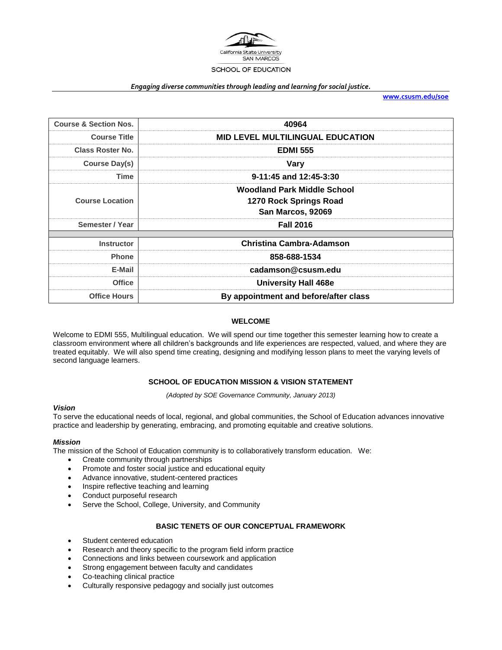

#### *Engaging diverse communities through leading and learning for social justice.*

**[www.csusm.edu/soe](http://www.csusm.edu/soe)**

| <b>Course &amp; Section Nos.</b> | 40964                                                                      |  |  |
|----------------------------------|----------------------------------------------------------------------------|--|--|
| <b>Course Title</b>              | <b>MID LEVEL MULTILINGUAL EDUCATION</b>                                    |  |  |
| <b>Class Roster No.</b>          | <b>EDMI 555</b>                                                            |  |  |
| Course Day(s)                    | Vary                                                                       |  |  |
| Time                             | 9-11:45 and 12:45-3:30                                                     |  |  |
| <b>Course Location</b>           | Woodland Park Middle School<br>1270 Rock Springs Road<br>San Marcos, 92069 |  |  |
| Semester / Year                  | <b>Fall 2016</b>                                                           |  |  |
| <b>Instructor</b>                | Christina Cambra-Adamson                                                   |  |  |
| <b>Phone</b>                     | 858-688-1534                                                               |  |  |
| E-Mail                           | cadamson@csusm.edu                                                         |  |  |
| <b>Office</b>                    | <b>University Hall 468e</b>                                                |  |  |
| <b>Office Hours</b>              | By appointment and before/after class                                      |  |  |

#### **WELCOME**

Welcome to EDMI 555, Multilingual education. We will spend our time together this semester learning how to create a classroom environment where all children's backgrounds and life experiences are respected, valued, and where they are treated equitably. We will also spend time creating, designing and modifying lesson plans to meet the varying levels of second language learners.

### **SCHOOL OF EDUCATION MISSION & VISION STATEMENT**

*(Adopted by SOE Governance Community, January 2013)*

#### *Vision*

To serve the educational needs of local, regional, and global communities, the School of Education advances innovative practice and leadership by generating, embracing, and promoting equitable and creative solutions.

#### *Mission*

The mission of the School of Education community is to collaboratively transform education. We:

- Create community through partnerships
- Promote and foster social justice and educational equity
- Advance innovative, student-centered practices
- Inspire reflective teaching and learning
- Conduct purposeful research
- Serve the School, College, University, and Community

#### **BASIC TENETS OF OUR CONCEPTUAL FRAMEWORK**

- Student centered education
- Research and theory specific to the program field inform practice
- Connections and links between coursework and application
- Strong engagement between faculty and candidates
- Co-teaching clinical practice
- Culturally responsive pedagogy and socially just outcomes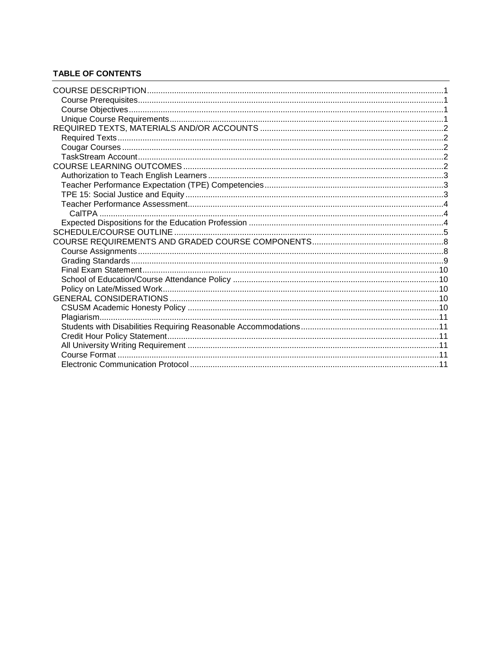# **TABLE OF CONTENTS**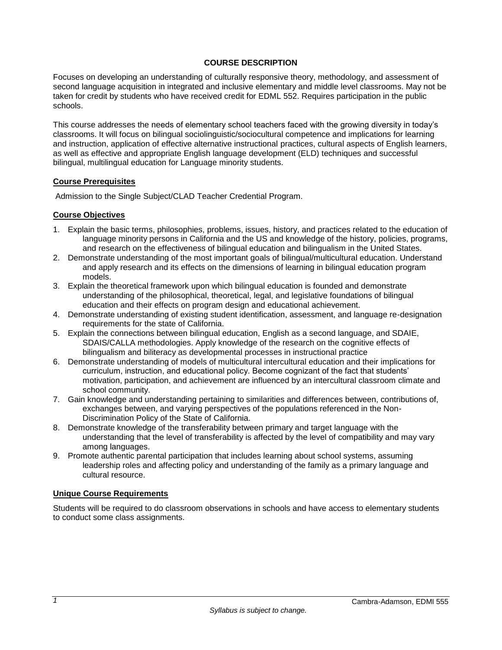## **COURSE DESCRIPTION**

<span id="page-2-0"></span>Focuses on developing an understanding of culturally responsive theory, methodology, and assessment of second language acquisition in integrated and inclusive elementary and middle level classrooms. May not be taken for credit by students who have received credit for EDML 552. Requires participation in the public schools.

This course addresses the needs of elementary school teachers faced with the growing diversity in today's classrooms. It will focus on bilingual sociolinguistic/sociocultural competence and implications for learning and instruction, application of effective alternative instructional practices, cultural aspects of English learners, as well as effective and appropriate English language development (ELD) techniques and successful bilingual, multilingual education for Language minority students.

### <span id="page-2-1"></span>**Course Prerequisites**

Admission to the Single Subject/CLAD Teacher Credential Program.

### <span id="page-2-2"></span>**Course Objectives**

- 1. Explain the basic terms, philosophies, problems, issues, history, and practices related to the education of language minority persons in California and the US and knowledge of the history, policies, programs, and research on the effectiveness of bilingual education and bilingualism in the United States.
- 2. Demonstrate understanding of the most important goals of bilingual/multicultural education. Understand and apply research and its effects on the dimensions of learning in bilingual education program models.
- 3. Explain the theoretical framework upon which bilingual education is founded and demonstrate understanding of the philosophical, theoretical, legal, and legislative foundations of bilingual education and their effects on program design and educational achievement.
- 4. Demonstrate understanding of existing student identification, assessment, and language re-designation requirements for the state of California.
- 5. Explain the connections between bilingual education, English as a second language, and SDAIE, SDAIS/CALLA methodologies. Apply knowledge of the research on the cognitive effects of bilingualism and biliteracy as developmental processes in instructional practice
- 6. Demonstrate understanding of models of multicultural intercultural education and their implications for curriculum, instruction, and educational policy. Become cognizant of the fact that students' motivation, participation, and achievement are influenced by an intercultural classroom climate and school community.
- 7. Gain knowledge and understanding pertaining to similarities and differences between, contributions of, exchanges between, and varying perspectives of the populations referenced in the Non-Discrimination Policy of the State of California.
- 8. Demonstrate knowledge of the transferability between primary and target language with the understanding that the level of transferability is affected by the level of compatibility and may vary among languages.
- 9. Promote authentic parental participation that includes learning about school systems, assuming leadership roles and affecting policy and understanding of the family as a primary language and cultural resource.

### <span id="page-2-3"></span>**Unique Course Requirements**

Students will be required to do classroom observations in schools and have access to elementary students to conduct some class assignments.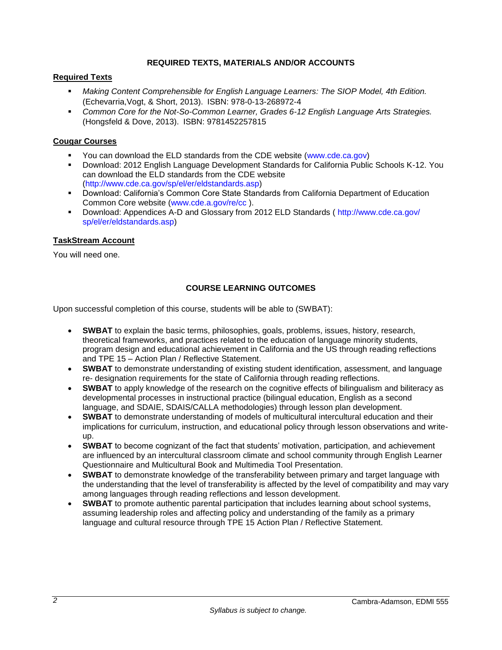## **REQUIRED TEXTS, MATERIALS AND/OR ACCOUNTS**

## <span id="page-3-1"></span><span id="page-3-0"></span>**Required Texts**

- *Making Content Comprehensible for English Language Learners: The SIOP Model, 4th Edition.*  (Echevarria,Vogt, & Short, 2013). ISBN: 978-0-13-268972-4
- *Common Core for the Not-So-Common Learner, Grades 6-12 English Language Arts Strategies.*  (Hongsfeld & Dove, 2013). ISBN: 9781452257815

## <span id="page-3-2"></span>**Cougar Courses**

- You can download the ELD standards from the CDE website (www.cde.ca.gov)
- Download: 2012 English Language Development Standards for California Public Schools K-12. You can download the ELD standards from the CDE website (http://www.cde.ca.gov/sp/el/er/eldstandards.asp)
- Download: California's Common Core State Standards from California Department of Education Common Core website (www.cde.a.gov/re/cc ).
- Download: Appendices A-D and Glossary from 2012 ELD Standards ( http://www.cde.ca.gov/ sp/el/er/eldstandards.asp)

### <span id="page-3-3"></span>**TaskStream Account**

You will need one.

## **COURSE LEARNING OUTCOMES**

<span id="page-3-4"></span>Upon successful completion of this course, students will be able to (SWBAT):

- **SWBAT** to explain the basic terms, philosophies, goals, problems, issues, history, research, theoretical frameworks, and practices related to the education of language minority students, program design and educational achievement in California and the US through reading reflections and TPE 15 – Action Plan / Reflective Statement.
- **SWBAT** to demonstrate understanding of existing student identification, assessment, and language re- designation requirements for the state of California through reading reflections.
- **SWBAT** to apply knowledge of the research on the cognitive effects of bilingualism and biliteracy as developmental processes in instructional practice (bilingual education, English as a second language, and SDAIE, SDAIS/CALLA methodologies) through lesson plan development.
- **SWBAT** to demonstrate understanding of models of multicultural intercultural education and their implications for curriculum, instruction, and educational policy through lesson observations and writeup.
- **SWBAT** to become cognizant of the fact that students' motivation, participation, and achievement are influenced by an intercultural classroom climate and school community through English Learner Questionnaire and Multicultural Book and Multimedia Tool Presentation.
- **SWBAT** to demonstrate knowledge of the transferability between primary and target language with the understanding that the level of transferability is affected by the level of compatibility and may vary among languages through reading reflections and lesson development.
- **SWBAT** to promote authentic parental participation that includes learning about school systems, assuming leadership roles and affecting policy and understanding of the family as a primary language and cultural resource through TPE 15 Action Plan / Reflective Statement.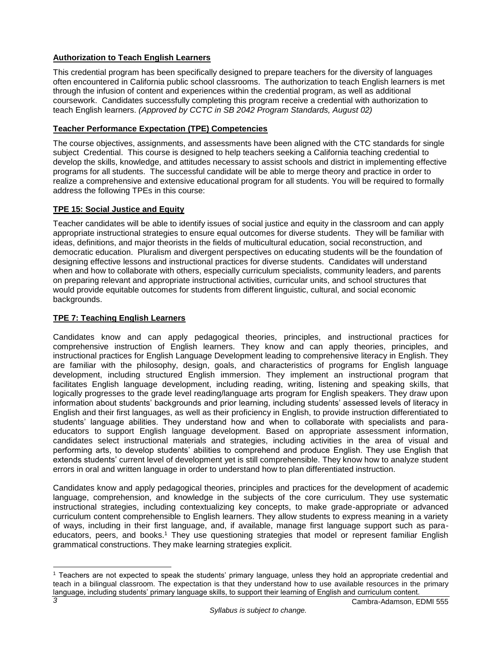# <span id="page-4-0"></span>**Authorization to Teach English Learners**

This credential program has been specifically designed to prepare teachers for the diversity of languages often encountered in California public school classrooms. The authorization to teach English learners is met through the infusion of content and experiences within the credential program, as well as additional coursework. Candidates successfully completing this program receive a credential with authorization to teach English learners. *(Approved by CCTC in SB 2042 Program Standards, August 02)*

## <span id="page-4-1"></span>**Teacher Performance Expectation (TPE) Competencies**

The course objectives, assignments, and assessments have been aligned with the CTC standards for single subject Credential. This course is designed to help teachers seeking a California teaching credential to develop the skills, knowledge, and attitudes necessary to assist schools and district in implementing effective programs for all students. The successful candidate will be able to merge theory and practice in order to realize a comprehensive and extensive educational program for all students. You will be required to formally address the following TPEs in this course:

## <span id="page-4-2"></span>**TPE 15: Social Justice and Equity**

Teacher candidates will be able to identify issues of social justice and equity in the classroom and can apply appropriate instructional strategies to ensure equal outcomes for diverse students. They will be familiar with ideas, definitions, and major theorists in the fields of multicultural education, social reconstruction, and democratic education. Pluralism and divergent perspectives on educating students will be the foundation of designing effective lessons and instructional practices for diverse students. Candidates will understand when and how to collaborate with others, especially curriculum specialists, community leaders, and parents on preparing relevant and appropriate instructional activities, curricular units, and school structures that would provide equitable outcomes for students from different linguistic, cultural, and social economic backgrounds.

## **TPE 7: Teaching English Learners**

Candidates know and can apply pedagogical theories, principles, and instructional practices for comprehensive instruction of English learners. They know and can apply theories, principles, and instructional practices for English Language Development leading to comprehensive literacy in English. They are familiar with the philosophy, design, goals, and characteristics of programs for English language development, including structured English immersion. They implement an instructional program that facilitates English language development, including reading, writing, listening and speaking skills, that logically progresses to the grade level reading/language arts program for English speakers. They draw upon information about students' backgrounds and prior learning, including students' assessed levels of literacy in English and their first languages, as well as their proficiency in English, to provide instruction differentiated to students' language abilities. They understand how and when to collaborate with specialists and paraeducators to support English language development. Based on appropriate assessment information, candidates select instructional materials and strategies, including activities in the area of visual and performing arts, to develop students' abilities to comprehend and produce English. They use English that extends students' current level of development yet is still comprehensible. They know how to analyze student errors in oral and written language in order to understand how to plan differentiated instruction.

Candidates know and apply pedagogical theories, principles and practices for the development of academic language, comprehension, and knowledge in the subjects of the core curriculum. They use systematic instructional strategies, including contextualizing key concepts, to make grade-appropriate or advanced curriculum content comprehensible to English learners. They allow students to express meaning in a variety of ways, including in their first language, and, if available, manage first language support such as paraeducators, peers, and books.<sup>1</sup> They use questioning strategies that model or represent familiar English grammatical constructions. They make learning strategies explicit.

 $\overline{a}$ 

<sup>1</sup> Teachers are not expected to speak the students' primary language, unless they hold an appropriate credential and teach in a bilingual classroom. The expectation is that they understand how to use available resources in the primary language, including students' primary language skills, to support their learning of English and curriculum content.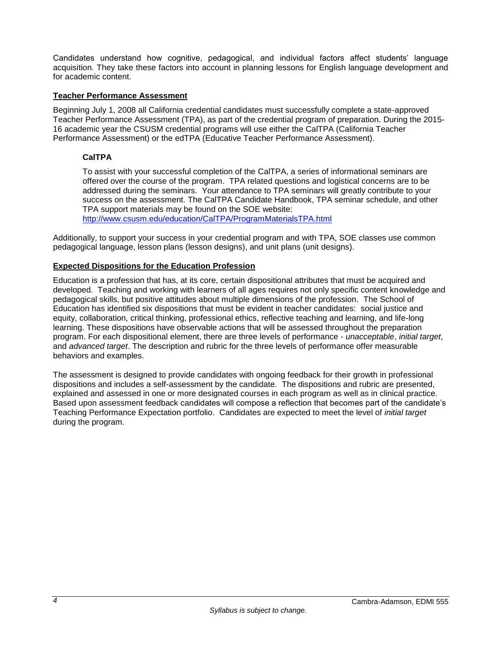Candidates understand how cognitive, pedagogical, and individual factors affect students' language acquisition. They take these factors into account in planning lessons for English language development and for academic content.

## <span id="page-5-0"></span>**Teacher Performance Assessment**

Beginning July 1, 2008 all California credential candidates must successfully complete a state-approved Teacher Performance Assessment (TPA), as part of the credential program of preparation. During the 2015- 16 academic year the CSUSM credential programs will use either the CalTPA (California Teacher Performance Assessment) or the edTPA (Educative Teacher Performance Assessment).

## <span id="page-5-1"></span>**CalTPA**

To assist with your successful completion of the CalTPA, a series of informational seminars are offered over the course of the program. TPA related questions and logistical concerns are to be addressed during the seminars. Your attendance to TPA seminars will greatly contribute to your success on the assessment. The CalTPA Candidate Handbook, TPA seminar schedule, and other TPA support materials may be found on the SOE website:

<http://www.csusm.edu/education/CalTPA/ProgramMaterialsTPA.html>

Additionally, to support your success in your credential program and with TPA, SOE classes use common pedagogical language, lesson plans (lesson designs), and unit plans (unit designs).

## <span id="page-5-2"></span>**Expected Dispositions for the Education Profession**

Education is a profession that has, at its core, certain dispositional attributes that must be acquired and developed. Teaching and working with learners of all ages requires not only specific content knowledge and pedagogical skills, but positive attitudes about multiple dimensions of the profession. The School of Education has identified six dispositions that must be evident in teacher candidates: social justice and equity, collaboration, critical thinking, professional ethics, reflective teaching and learning, and life-long learning. These dispositions have observable actions that will be assessed throughout the preparation program. For each dispositional element, there are three levels of performance - *unacceptable*, *initial target*, and *advanced target*. The description and rubric for the three levels of performance offer measurable behaviors and examples.

The assessment is designed to provide candidates with ongoing feedback for their growth in professional dispositions and includes a self-assessment by the candidate. The dispositions and rubric are presented, explained and assessed in one or more designated courses in each program as well as in clinical practice. Based upon assessment feedback candidates will compose a reflection that becomes part of the candidate's Teaching Performance Expectation portfolio. Candidates are expected to meet the level of *initial target* during the program.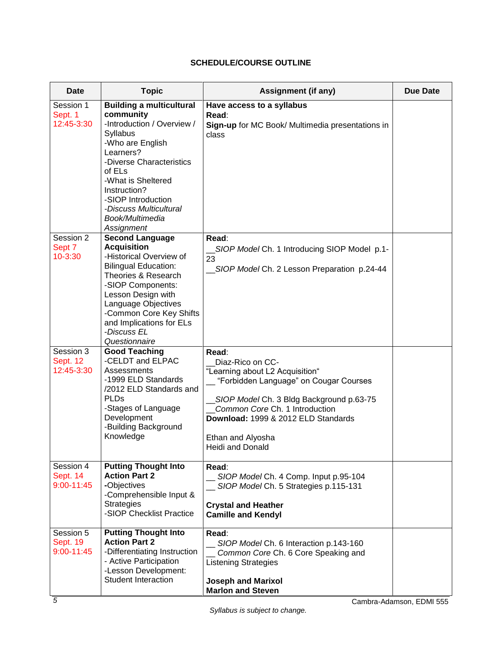# **SCHEDULE/COURSE OUTLINE**

<span id="page-6-0"></span>

| Date                                           | <b>Topic</b>                                                                                                                                                                                                                                                                           | <b>Assignment (if any)</b>                                                                                                                                                                                                                                           | <b>Due Date</b> |
|------------------------------------------------|----------------------------------------------------------------------------------------------------------------------------------------------------------------------------------------------------------------------------------------------------------------------------------------|----------------------------------------------------------------------------------------------------------------------------------------------------------------------------------------------------------------------------------------------------------------------|-----------------|
| Session 1<br>Sept. 1<br>12:45-3:30             | <b>Building a multicultural</b><br>community<br>-Introduction / Overview /<br>Syllabus<br>-Who are English<br>Learners?<br>-Diverse Characteristics<br>of ELs<br>-What is Sheltered<br>Instruction?<br>-SIOP Introduction<br>-Discuss Multicultural<br>Book/Multimedia<br>Assignment   | Have access to a syllabus<br>Read:<br>Sign-up for MC Book/ Multimedia presentations in<br>class                                                                                                                                                                      |                 |
| Session 2<br>Sept 7<br>10-3:30                 | <b>Second Language</b><br><b>Acquisition</b><br>-Historical Overview of<br><b>Bilingual Education:</b><br>Theories & Research<br>-SIOP Components:<br>Lesson Design with<br>Language Objectives<br>-Common Core Key Shifts<br>and Implications for ELs<br>-Discuss EL<br>Questionnaire | Read:<br>SIOP Model Ch. 1 Introducing SIOP Model p.1-<br>23<br>SIOP Model Ch. 2 Lesson Preparation p.24-44                                                                                                                                                           |                 |
| Session 3<br><b>Sept. 12</b><br>12:45-3:30     | <b>Good Teaching</b><br>-CELDT and ELPAC<br>Assessments<br>-1999 ELD Standards<br>/2012 ELD Standards and<br><b>PLDs</b><br>-Stages of Language<br>Development<br>-Building Background<br>Knowledge                                                                                    | Read:<br>Diaz-Rico on CC-<br>"Learning about L2 Acquisition"<br>"Forbidden Language" on Cougar Courses<br>SIOP Model Ch. 3 Bldg Background p.63-75<br>Common Core Ch. 1 Introduction<br>Download: 1999 & 2012 ELD Standards<br>Ethan and Alyosha<br>Heidi and Donald |                 |
| Session 4<br><b>Sept. 14</b><br>$9:00 - 11:45$ | <b>Putting Thought Into</b><br><b>Action Part 2</b><br>-Objectives<br>-Comprehensible Input &<br><b>Strategies</b><br>-SIOP Checklist Practice                                                                                                                                         | Read:<br>SIOP Model Ch. 4 Comp. Input p.95-104<br>SIOP Model Ch. 5 Strategies p.115-131<br><b>Crystal and Heather</b><br><b>Camille and Kendyl</b>                                                                                                                   |                 |
| Session 5<br><b>Sept. 19</b><br>$9:00 - 11:45$ | <b>Putting Thought Into</b><br><b>Action Part 2</b><br>-Differentiating Instruction<br>- Active Participation<br>-Lesson Development:<br>Student Interaction                                                                                                                           | Read:<br>SIOP Model Ch. 6 Interaction p.143-160<br>Common Core Ch. 6 Core Speaking and<br><b>Listening Strategies</b><br><b>Joseph and Marixol</b><br><b>Marlon and Steven</b>                                                                                       |                 |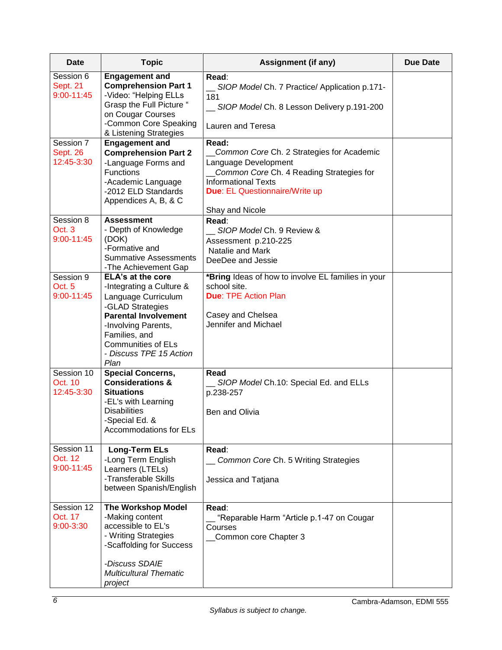| Date                                    | <b>Topic</b>                                                                                                                                                                                                                    | <b>Assignment (if any)</b>                                                                                                                                                                                       | <b>Due Date</b> |
|-----------------------------------------|---------------------------------------------------------------------------------------------------------------------------------------------------------------------------------------------------------------------------------|------------------------------------------------------------------------------------------------------------------------------------------------------------------------------------------------------------------|-----------------|
| Session 6<br>Sept. 21<br>$9:00 - 11:45$ | <b>Engagement and</b><br><b>Comprehension Part 1</b><br>-Video: "Helping ELLs<br>Grasp the Full Picture "<br>on Cougar Courses<br>-Common Core Speaking                                                                         | Read:<br>SIOP Model Ch. 7 Practice/ Application p.171-<br>181<br>SIOP Model Ch. 8 Lesson Delivery p.191-200<br>Lauren and Teresa                                                                                 |                 |
| Session 7<br>Sept. 26<br>12:45-3:30     | & Listening Strategies<br><b>Engagement and</b><br><b>Comprehension Part 2</b><br>-Language Forms and<br><b>Functions</b><br>-Academic Language<br>-2012 ELD Standards<br>Appendices A, B, & C                                  | Read:<br>Common Core Ch. 2 Strategies for Academic<br>Language Development<br>Common Core Ch. 4 Reading Strategies for<br><b>Informational Texts</b><br><b>Due: EL Questionnaire/Write up</b><br>Shay and Nicole |                 |
| Session 8<br>Oct. 3<br>$9:00 - 11:45$   | <b>Assessment</b><br>- Depth of Knowledge<br>(DOK)<br>-Formative and<br><b>Summative Assessments</b><br>-The Achievement Gap                                                                                                    | Read:<br>SIOP Model Ch. 9 Review &<br>Assessment p.210-225<br>Natalie and Mark<br>DeeDee and Jessie                                                                                                              |                 |
| Session 9<br>Oct. 5<br>$9:00 - 11:45$   | ELA's at the core<br>-Integrating a Culture &<br>Language Curriculum<br>-GLAD Strategies<br><b>Parental Involvement</b><br>-Involving Parents,<br>Families, and<br><b>Communities of ELs</b><br>- Discuss TPE 15 Action<br>Plan | *Bring Ideas of how to involve EL families in your<br>school site.<br><b>Due: TPE Action Plan</b><br>Casey and Chelsea<br>Jennifer and Michael                                                                   |                 |
| Session 10<br>Oct. 10<br>12:45-3:30     | <b>Special Concerns,</b><br><b>Considerations &amp;</b><br><b>Situations</b><br>-EL's with Learning<br><b>Disabilities</b><br>-Special Ed. &<br><b>Accommodations for ELs</b>                                                   | Read<br>SIOP Model Ch.10: Special Ed. and ELLs<br>p.238-257<br>Ben and Olivia                                                                                                                                    |                 |
| Session 11<br>Oct. 12<br>$9:00 - 11:45$ | Long-Term ELs<br>-Long Term English<br>Learners (LTELs)<br>-Transferable Skills<br>between Spanish/English                                                                                                                      | Read:<br>Common Core Ch. 5 Writing Strategies<br>Jessica and Tatjana                                                                                                                                             |                 |
| Session 12<br>Oct. 17<br>9:00-3:30      | <b>The Workshop Model</b><br>-Making content<br>accessible to EL's<br>- Writing Strategies<br>-Scaffolding for Success<br>-Discuss SDAIE<br><b>Multicultural Thematic</b><br>project                                            | Read:<br>"Reparable Harm "Article p.1-47 on Cougar<br>Courses<br>Common core Chapter 3                                                                                                                           |                 |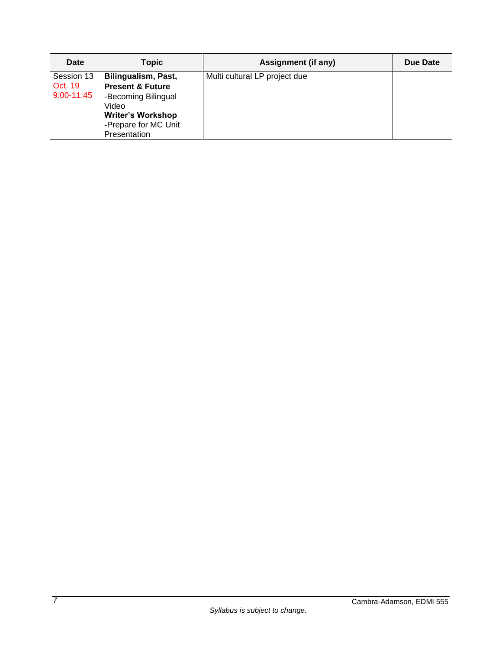| <b>Date</b>                             | <b>Topic</b>                                                                                                                                           | Assignment (if any)           | Due Date |
|-----------------------------------------|--------------------------------------------------------------------------------------------------------------------------------------------------------|-------------------------------|----------|
| Session 13<br>Oct. 19<br>$9:00 - 11:45$ | Bilingualism, Past,<br><b>Present &amp; Future</b><br>-Becoming Bilingual<br>Video<br><b>Writer's Workshop</b><br>-Prepare for MC Unit<br>Presentation | Multi cultural LP project due |          |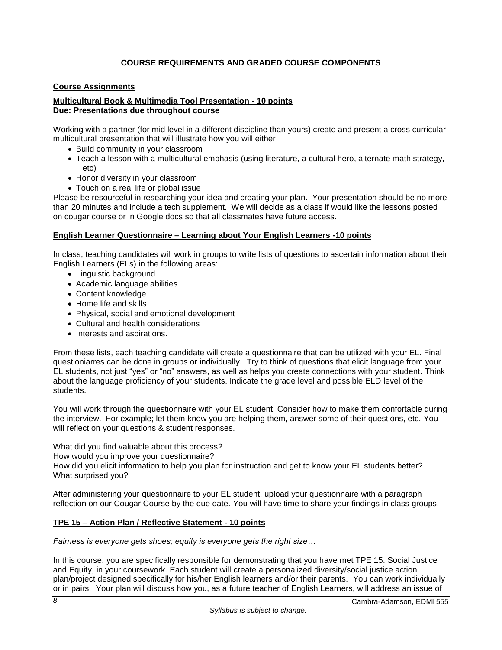# **COURSE REQUIREMENTS AND GRADED COURSE COMPONENTS**

## <span id="page-9-1"></span><span id="page-9-0"></span>**Course Assignments**

### **Multicultural Book & Multimedia Tool Presentation - 10 points Due: Presentations due throughout course**

Working with a partner (for mid level in a different discipline than yours) create and present a cross curricular multicultural presentation that will illustrate how you will either

- Build community in your classroom
- Teach a lesson with a multicultural emphasis (using literature, a cultural hero, alternate math strategy, etc)
- Honor diversity in your classroom
- Touch on a real life or global issue

Please be resourceful in researching your idea and creating your plan. Your presentation should be no more than 20 minutes and include a tech supplement. We will decide as a class if would like the lessons posted on cougar course or in Google docs so that all classmates have future access.

### **English Learner Questionnaire – Learning about Your English Learners -10 points**

In class, teaching candidates will work in groups to write lists of questions to ascertain information about their English Learners (ELs) in the following areas:

- Linguistic background
- Academic language abilities
- Content knowledge
- Home life and skills
- Physical, social and emotional development
- Cultural and health considerations
- Interests and aspirations.

From these lists, each teaching candidate will create a questionnaire that can be utilized with your EL. Final questioniarres can be done in groups or individually. Try to think of questions that elicit language from your EL students, not just "yes" or "no" answers, as well as helps you create connections with your student. Think about the language proficiency of your students. Indicate the grade level and possible ELD level of the students.

You will work through the questionnaire with your EL student. Consider how to make them confortable during the interview. For example; let them know you are helping them, answer some of their questions, etc. You will reflect on your questions & student responses.

What did you find valuable about this process?

How would you improve your questionnaire?

How did you elicit information to help you plan for instruction and get to know your EL students better? What surprised you?

After administering your questionnaire to your EL student, upload your questionnaire with a paragraph reflection on our Cougar Course by the due date. You will have time to share your findings in class groups.

## **TPE 15 – Action Plan / Reflective Statement - 10 points**

*Fairness is everyone gets shoes; equity is everyone gets the right size…*

In this course, you are specifically responsible for demonstrating that you have met TPE 15: Social Justice and Equity, in your coursework. Each student will create a personalized diversity/social justice action plan/project designed specifically for his/her English learners and/or their parents. You can work individually or in pairs. Your plan will discuss how you, as a future teacher of English Learners, will address an issue of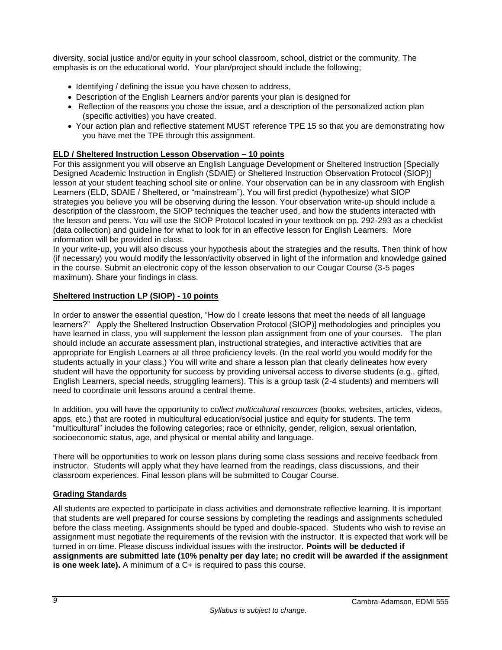diversity, social justice and/or equity in your school classroom, school, district or the community. The emphasis is on the educational world. Your plan/project should include the following;

- Identifying / defining the issue you have chosen to address,
- Description of the English Learners and/or parents your plan is designed for
- Reflection of the reasons you chose the issue, and a description of the personalized action plan (specific activities) you have created.
- Your action plan and reflective statement MUST reference TPE 15 so that you are demonstrating how you have met the TPE through this assignment.

# **ELD / Sheltered Instruction Lesson Observation – 10 points**

For this assignment you will observe an English Language Development or Sheltered Instruction [Specially Designed Academic Instruction in English (SDAIE) or Sheltered Instruction Observation Protocol (SIOP)] lesson at your student teaching school site or online. Your observation can be in any classroom with English Learners (ELD, SDAIE / Sheltered, or "mainstream"). You will first predict (hypothesize) what SIOP strategies you believe you will be observing during the lesson. Your observation write-up should include a description of the classroom, the SIOP techniques the teacher used, and how the students interacted with the lesson and peers. You will use the SIOP Protocol located in your textbook on pp. 292-293 as a checklist (data collection) and guideline for what to look for in an effective lesson for English Learners. More information will be provided in class.

In your write-up, you will also discuss your hypothesis about the strategies and the results. Then think of how (if necessary) you would modify the lesson/activity observed in light of the information and knowledge gained in the course. Submit an electronic copy of the lesson observation to our Cougar Course (3-5 pages maximum). Share your findings in class.

## **Sheltered Instruction LP (SIOP) - 10 points**

In order to answer the essential question, "How do I create lessons that meet the needs of all language learners?" Apply the Sheltered Instruction Observation Protocol (SIOP)] methodologies and principles you have learned in class, you will supplement the lesson plan assignment from one of your courses. The plan should include an accurate assessment plan, instructional strategies, and interactive activities that are appropriate for English Learners at all three proficiency levels. (In the real world you would modify for the students actually in your class.) You will write and share a lesson plan that clearly delineates how every student will have the opportunity for success by providing universal access to diverse students (e.g., gifted, English Learners, special needs, struggling learners). This is a group task (2-4 students) and members will need to coordinate unit lessons around a central theme.

In addition, you will have the opportunity to *collect multicultural resources* (books, websites, articles, videos, apps, etc.) that are rooted in multicultural education/social justice and equity for students. The term "multicultural" includes the following categories; race or ethnicity, gender, religion, sexual orientation, socioeconomic status, age, and physical or mental ability and language.

There will be opportunities to work on lesson plans during some class sessions and receive feedback from instructor. Students will apply what they have learned from the readings, class discussions, and their classroom experiences. Final lesson plans will be submitted to Cougar Course.

## <span id="page-10-0"></span>**Grading Standards**

All students are expected to participate in class activities and demonstrate reflective learning. It is important that students are well prepared for course sessions by completing the readings and assignments scheduled before the class meeting. Assignments should be typed and double-spaced. Students who wish to revise an assignment must negotiate the requirements of the revision with the instructor. It is expected that work will be turned in on time. Please discuss individual issues with the instructor. **Points will be deducted if assignments are submitted late (10% penalty per day late; no credit will be awarded if the assignment is one week late).** A minimum of a C+ is required to pass this course.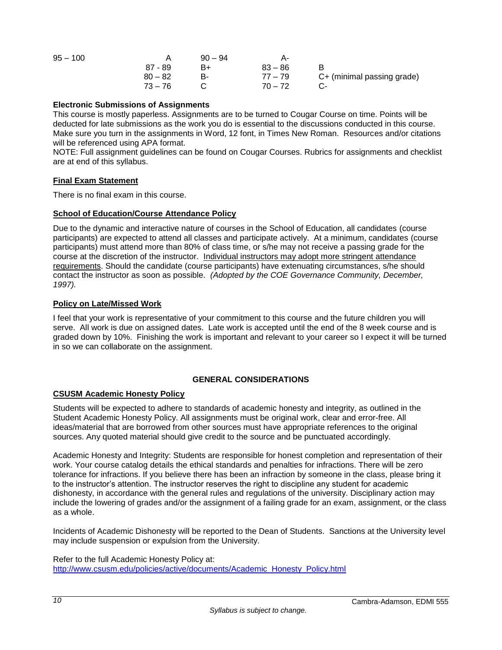| $95 - 100$ |           | $90 - 94$ |           |                            |
|------------|-----------|-----------|-----------|----------------------------|
|            | 87 - 89   | B+        | $83 - 86$ |                            |
|            | $80 - 82$ | в.        | 77 – 79   | C+ (minimal passing grade) |
|            | $73 - 76$ |           | $70 - 72$ |                            |

### **Electronic Submissions of Assignments**

This course is mostly paperless. Assignments are to be turned to Cougar Course on time. Points will be deducted for late submissions as the work you do is essential to the discussions conducted in this course. Make sure you turn in the assignments in Word, 12 font, in Times New Roman. Resources and/or citations will be referenced using APA format.

NOTE: Full assignment guidelines can be found on Cougar Courses. Rubrics for assignments and checklist are at end of this syllabus.

## <span id="page-11-0"></span>**Final Exam Statement**

There is no final exam in this course.

### <span id="page-11-1"></span>**School of Education/Course Attendance Policy**

Due to the dynamic and interactive nature of courses in the School of Education, all candidates (course participants) are expected to attend all classes and participate actively. At a minimum, candidates (course participants) must attend more than 80% of class time, or s/he may not receive a passing grade for the course at the discretion of the instructor. Individual instructors may adopt more stringent attendance requirements. Should the candidate (course participants) have extenuating circumstances, s/he should contact the instructor as soon as possible. *(Adopted by the COE Governance Community, December, 1997).*

### <span id="page-11-2"></span>**Policy on Late/Missed Work**

I feel that your work is representative of your commitment to this course and the future children you will serve. All work is due on assigned dates. Late work is accepted until the end of the 8 week course and is graded down by 10%. Finishing the work is important and relevant to your career so I expect it will be turned in so we can collaborate on the assignment.

## **GENERAL CONSIDERATIONS**

### <span id="page-11-4"></span><span id="page-11-3"></span>**CSUSM Academic Honesty Policy**

Students will be expected to adhere to standards of academic honesty and integrity, as outlined in the Student Academic Honesty Policy. All assignments must be original work, clear and error-free. All ideas/material that are borrowed from other sources must have appropriate references to the original sources. Any quoted material should give credit to the source and be punctuated accordingly.

Academic Honesty and Integrity: Students are responsible for honest completion and representation of their work. Your course catalog details the ethical standards and penalties for infractions. There will be zero tolerance for infractions. If you believe there has been an infraction by someone in the class, please bring it to the instructor's attention. The instructor reserves the right to discipline any student for academic dishonesty, in accordance with the general rules and regulations of the university. Disciplinary action may include the lowering of grades and/or the assignment of a failing grade for an exam, assignment, or the class as a whole.

Incidents of Academic Dishonesty will be reported to the Dean of Students. Sanctions at the University level may include suspension or expulsion from the University.

Refer to the full Academic Honesty Policy at: [http://www.csusm.edu/policies/active/documents/Academic\\_Honesty\\_Policy.html](http://www.csusm.edu/policies/active/documents/Academic_Honesty_Policy.html)